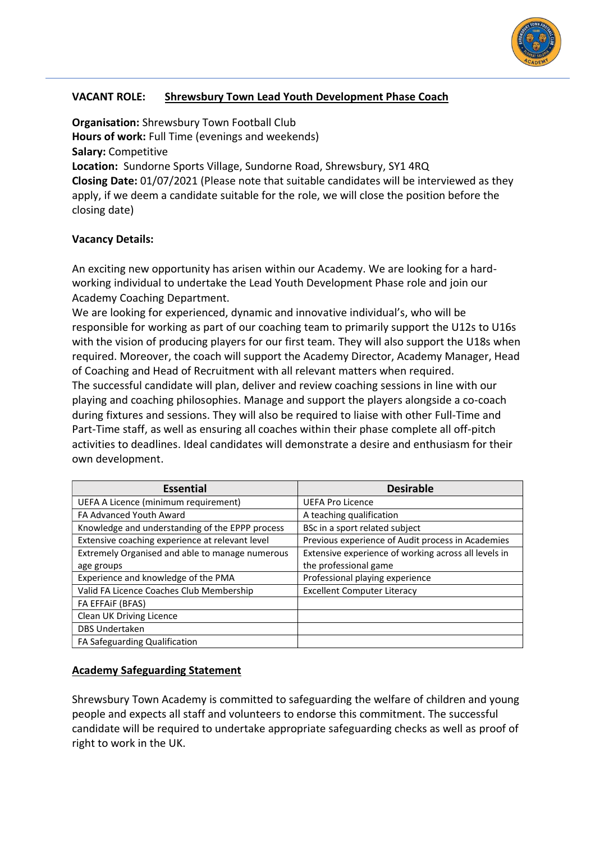

## **VACANT ROLE: Shrewsbury Town Lead Youth Development Phase Coach**

**Organisation:** Shrewsbury Town Football Club **Hours of work:** Full Time (evenings and weekends) **Salary:** Competitive **Location:** Sundorne Sports Village, Sundorne Road, Shrewsbury, SY1 4RQ **Closing Date:** 01/07/2021 (Please note that suitable candidates will be interviewed as they apply, if we deem a candidate suitable for the role, we will close the position before the closing date)

## **Vacancy Details:**

An exciting new opportunity has arisen within our Academy. We are looking for a hardworking individual to undertake the Lead Youth Development Phase role and join our Academy Coaching Department.

We are looking for experienced, dynamic and innovative individual's, who will be responsible for working as part of our coaching team to primarily support the U12s to U16s with the vision of producing players for our first team. They will also support the U18s when required. Moreover, the coach will support the Academy Director, Academy Manager, Head of Coaching and Head of Recruitment with all relevant matters when required.

The successful candidate will plan, deliver and review coaching sessions in line with our playing and coaching philosophies. Manage and support the players alongside a co-coach during fixtures and sessions. They will also be required to liaise with other Full-Time and Part-Time staff, as well as ensuring all coaches within their phase complete all off-pitch activities to deadlines. Ideal candidates will demonstrate a desire and enthusiasm for their own development.

| <b>Essential</b>                                | <b>Desirable</b>                                     |
|-------------------------------------------------|------------------------------------------------------|
| UEFA A Licence (minimum requirement)            | <b>UEFA Pro Licence</b>                              |
| FA Advanced Youth Award                         | A teaching qualification                             |
| Knowledge and understanding of the EPPP process | BSc in a sport related subject                       |
| Extensive coaching experience at relevant level | Previous experience of Audit process in Academies    |
| Extremely Organised and able to manage numerous | Extensive experience of working across all levels in |
| age groups                                      | the professional game                                |
| Experience and knowledge of the PMA             | Professional playing experience                      |
| Valid FA Licence Coaches Club Membership        | <b>Excellent Computer Literacy</b>                   |
| FA EFFAIF (BFAS)                                |                                                      |
| Clean UK Driving Licence                        |                                                      |
| <b>DBS Undertaken</b>                           |                                                      |
| FA Safeguarding Qualification                   |                                                      |

## **Academy Safeguarding Statement**

Shrewsbury Town Academy is committed to safeguarding the welfare of children and young people and expects all staff and volunteers to endorse this commitment. The successful candidate will be required to undertake appropriate safeguarding checks as well as proof of right to work in the UK.